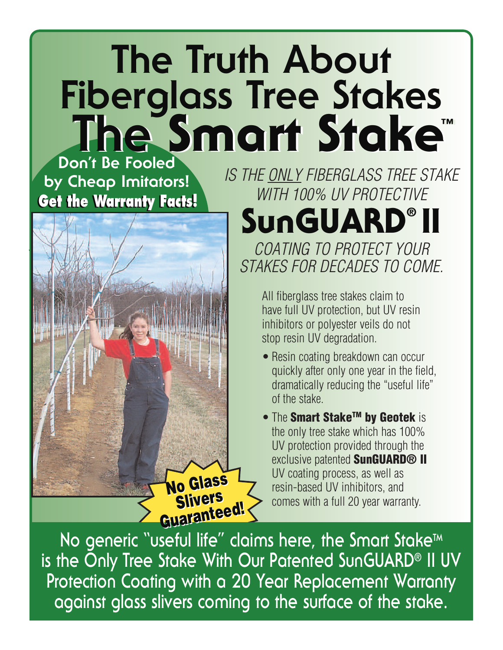## **The Truth About Fiberglass Tree Stakes Don't Be Fooled The Smart Stake™ The Smart Stake™**

**by Cheap Imitators! Get the Warranty Facts! Get the Warranty Facts!**



*IS THE ONLY FIBERGLASS TREE STAKE WITH 100% UV PROTECTIVE*

## **SunGUARD® II**

*COATING TO PROTECT YOUR STAKES FOR DECADES TO COME.*

> All fiberglass tree stakes claim to have full UV protection, but UV resin inhibitors or polyester veils do not stop resin UV degradation.

- Resin coating breakdown can occur quickly after only one year in the field, dramatically reducing the "useful life" of the stake.
- The **Smart StakeTM by Geotek** is the only tree stake which has 100% UV protection provided through the exclusive patented **SunGUARD® II** UV coating process, as well as resin-based UV inhibitors, and comes with a full 20 year warranty.

No generic "useful life" claims here, the Smart Stake<sup>™</sup> **is the Only Tree Stake With Our Patented SunGUARD® II UV Protection Coating with a 20 Year Replacement Warranty against glass slivers coming to the surface of the stake.**